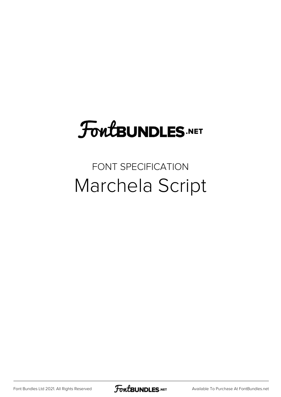## **FoutBUNDLES.NET**

## FONT SPECIFICATION Marchela Script

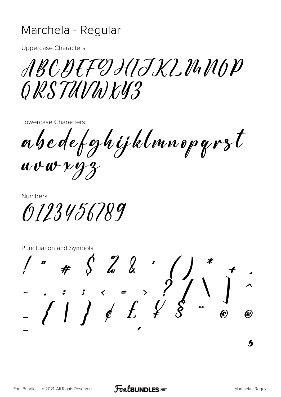## Marchela - Regular

**Uppercase Characters** 

ABCDEFDHIJXLMMOP ORSTUVWKY3

Lowercase Characters

abcdefghijklmnopgrst  $uvwxyz$ 

**Numbers** 

0123456789

Punctuation and Symbols

 $\begin{array}{ccccccccc}\n& \ \ \, & \ \ \, & \ \ \, & \ \ \, & \ \ \, & \ \ \, & \ \ \, & \ \ \, & \ \ \, & \ \ \, & \ \ \, & \ \ \, & \ \ \, & \ \ \, & \ \ \, & \ \ \, & \ \ \, & \ \ \, & \ \ \, & \ \ \, & \ \ \, & \ \ \, & \ \ \, & \ \ \, & \ \ \, & \ \ \, & \ \ \, & \ \ \, & \ \ \, & \ \ \,$ (K)  $\bm{h}$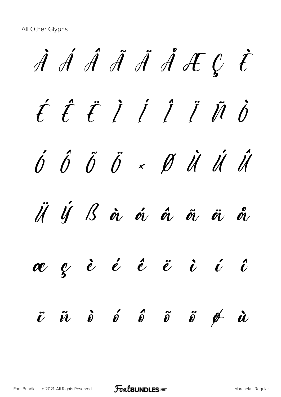All Other Glyphs

À Á Â Ã Ä Å Æ Ç È É Ê Ë Ì Í Î Ï Ñ Ò Ó Ô Õ Ö × Ø Ù Ú Û Ü Ý ß à á â ã ä å æ ç è é ê ë ì í î  $\ddot{v}$   $\ddot{v}$   $\dot{v}$   $\ddot{v}$   $\ddot{v}$   $\ddot{v}$   $\ddot{v}$   $\ddot{v}$   $\dot{v}$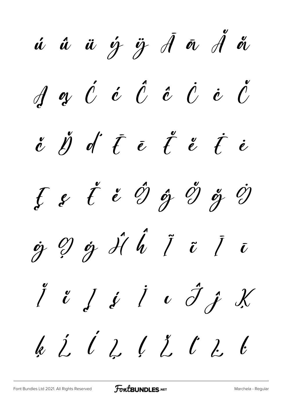ú û ü ý ÿ Ā ā Å å  $\oint$  a  $\acute{\theta}$  i  $\acute{\theta}$  i  $\acute{\theta}$  i  $\acute{\theta}$  i  $\acute{\theta}$  $\stackrel{\text{\tiny o}}{c}$   $\stackrel{\text{\tiny o}}{d}$  i  $\stackrel{\text{\tiny o}}{d}$  i  $\stackrel{\text{\tiny o}}{d}$  i  $\stackrel{\text{\tiny o}}{d}$  i  $\stackrel{\text{\tiny o}}{d}$ Ę ę Ě ě Ĝ ĝ Ğ ğ Ġ  $\dot{g}$   $\dot{g}$   $\dot{g}$   $\dot{d}$   $\dot{b}$   $\ddot{i}$   $\ddot{i}$   $\ddot{i}$   $\ddot{i}$  $\int u \int f \int v \hat{J} f X$ k Ĺ ĺ Ļ ļ Ĺ Ľ L ŀ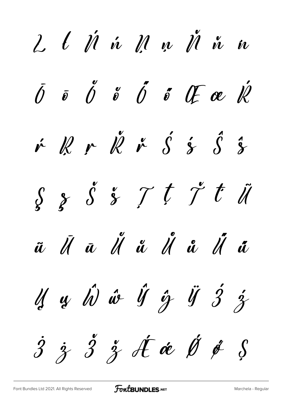$2\,$   $\ell$   $\dot{\mathscr{U}}$   $\dot{\mathscr{U}}$   $\mathscr{M}$   $\mathscr{N}$   $\mathscr{N}$   $\dot{\mathscr{U}}$   $\dot{\mathscr{U}}$  $\overline{\theta}$   $\overline{\theta}$   $\overline{\theta}$   $\overline{\theta}$   $\overline{\theta}$   $\overline{\theta}$   $\overline{\theta}$   $\overline{\theta}$   $\overline{\theta}$ v R v R v S s S s  $s s s s t \gamma t$ ũ Ũ ā Ü ǚ Ü å Ü ä Is  $\hat{y}$   $\hat{w}$  if  $\hat{y}$  if  $\hat{y}$  if  $\hat{z}$  $\dot{3}$   $\dot{3}$   $\ddot{3}$  of  $\dot{\alpha}$   $\dot{\beta}$   $\dot{\beta}$